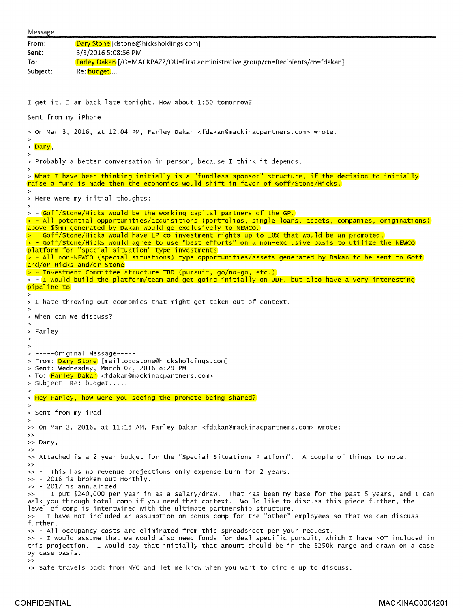| Message                                                                                                                                  |                                                                                                                                                                                                                                                                                                                                                                                                                                                                |
|------------------------------------------------------------------------------------------------------------------------------------------|----------------------------------------------------------------------------------------------------------------------------------------------------------------------------------------------------------------------------------------------------------------------------------------------------------------------------------------------------------------------------------------------------------------------------------------------------------------|
| From:<br>Sent:<br>To:                                                                                                                    | Dary Stone [dstone@hicksholdings.com]<br>3/3/2016 5:08:56 PM<br>Farley Dakan [/O=MACKPAZZ/OU=First administrative group/cn=Recipients/cn=fdakan]                                                                                                                                                                                                                                                                                                               |
| Subject:                                                                                                                                 | Re: budget                                                                                                                                                                                                                                                                                                                                                                                                                                                     |
| I get it. I am back late tonight. How about 1:30 tomorrow?                                                                               |                                                                                                                                                                                                                                                                                                                                                                                                                                                                |
| Sent from my iPhone                                                                                                                      |                                                                                                                                                                                                                                                                                                                                                                                                                                                                |
| > On Mar 3, 2016, at 12:04 PM, Farley Dakan <fdakan@mackinacpartners.com> wrote:<br/><math>\,&gt;\,</math></fdakan@mackinacpartners.com> |                                                                                                                                                                                                                                                                                                                                                                                                                                                                |
| > Dary,                                                                                                                                  |                                                                                                                                                                                                                                                                                                                                                                                                                                                                |
| >                                                                                                                                        | > Probably a better conversation in person, because I think it depends.                                                                                                                                                                                                                                                                                                                                                                                        |
|                                                                                                                                          | > What I have been thinking initially is a "fundless sponsor" structure, if the decision to initially<br>raise a fund is made then the economics would shift in favor of Goff/Stone/Hicks.                                                                                                                                                                                                                                                                     |
| $\geq$                                                                                                                                   | > Here were my initial thoughts:                                                                                                                                                                                                                                                                                                                                                                                                                               |
|                                                                                                                                          | > - Goff/Stone/Hicks would be the working capital partners of the GP.<br>$>$ - All potential opportunities/acquisitions (portfolios, single loans, assets, companies, originations)<br>above \$5mm generated by Dakan would go exclusively to NEWCO.<br>> - Goff/Stone/Hicks would have LP co-investment rights up to 10% that would be un-promoted.<br>$>$ - Goff/Stone/Hicks would agree to use "best efforts" on a non-exclusive basis to utilize the NEWCO |
|                                                                                                                                          | platform for "special situation" type investments<br>$>$ - All non-NEWCO (special situations) type opportunities/assets generated by Dakan to be sent to Goff<br>and/or Hicks and/or Stone                                                                                                                                                                                                                                                                     |
| pipeline to                                                                                                                              | $>$ - Investment Committee structure TBD (pursuit, go/no-go, etc.)<br>> - I would build the platform/team and get going initially on UDF, but also have a very interesting                                                                                                                                                                                                                                                                                     |
|                                                                                                                                          | > I hate throwing out economics that might get taken out of context.                                                                                                                                                                                                                                                                                                                                                                                           |
| ><br>> When can we discuss?                                                                                                              |                                                                                                                                                                                                                                                                                                                                                                                                                                                                |
| $\,>\,$                                                                                                                                  |                                                                                                                                                                                                                                                                                                                                                                                                                                                                |
| > Farley<br>$\geq$                                                                                                                       |                                                                                                                                                                                                                                                                                                                                                                                                                                                                |
| $\geq$                                                                                                                                   | $>$ -----Original Message-----<br>> From: Dary Stone [mailto:dstone@hicksholdings.com]<br>> Sent: Wednesday, March 02, 2016 8:29 PM<br>> To: Farley Dakan <fdakan@mackinacpartners.com><br/>&gt; Subject: Re: budget</fdakan@mackinacpartners.com>                                                                                                                                                                                                             |
| $\rightarrow$                                                                                                                            | > Hey Farley, how were you seeing the promote being shared?                                                                                                                                                                                                                                                                                                                                                                                                    |
| > Sent from my iPad                                                                                                                      |                                                                                                                                                                                                                                                                                                                                                                                                                                                                |
| $\geq$                                                                                                                                   | >> On Mar 2, 2016, at 11:13 AM, Farley Dakan <fdakan@mackinacpartners.com> wrote:</fdakan@mackinacpartners.com>                                                                                                                                                                                                                                                                                                                                                |
| >><br>>> Dary,                                                                                                                           |                                                                                                                                                                                                                                                                                                                                                                                                                                                                |
| >><br>>>                                                                                                                                 | >> Attached is a 2 year budget for the "Special Situations Platform". A couple of things to note:                                                                                                                                                                                                                                                                                                                                                              |
|                                                                                                                                          | >> - This has no revenue projections only expense burn for 2 years.<br>>> - 2016 is broken out monthly.<br>$\gg$ - 2017 is annualized.                                                                                                                                                                                                                                                                                                                         |
|                                                                                                                                          | >> - I put \$240,000 per year in as a salary/draw. That has been my base for the past 5 years, and I can<br>walk you through total comp if you need that context. Would like to discuss this piece further, the<br>level of comp is intertwined with the ultimate partnership structure.<br>>> - I have not included an assumption on bonus comp for the "other" employees so that we can discuss                                                              |
| further.<br>by case basis.<br>>                                                                                                          | >> - All occupancy costs are eliminated from this spreadsheet per your request.<br>>> - I would assume that we would also need funds for deal specific pursuit, which I have NOT included in<br>this projection. I would say that initially that amount should be in the \$250k range and drawn on a case                                                                                                                                                      |
|                                                                                                                                          | >> Safe travels back from NYC and let me know when you want to circle up to discuss.                                                                                                                                                                                                                                                                                                                                                                           |